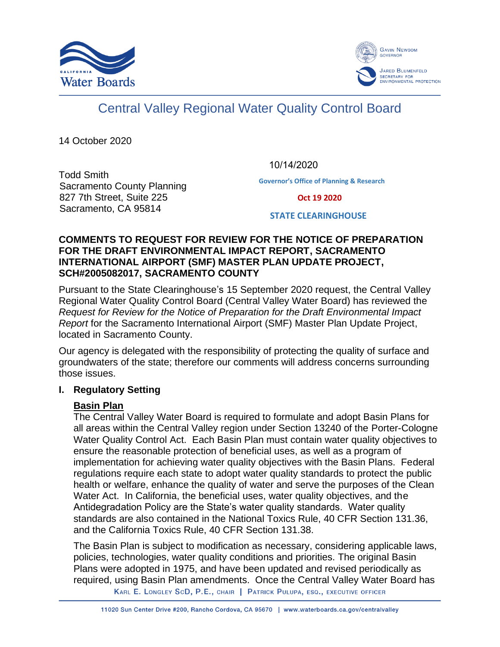



# Central Valley Regional Water Quality Control Board

14 October 2020

10/14/2020

Todd Smith Sacramento County Planning 827 7th Street, Suite 225 Sacramento, CA 95814

**Governor's Office of Planning & Research**

 **Oct 19 2020**

**STATE CLEARINGHOUSE**

#### **COMMENTS TO REQUEST FOR REVIEW FOR THE NOTICE OF PREPARATION FOR THE DRAFT ENVIRONMENTAL IMPACT REPORT, SACRAMENTO INTERNATIONAL AIRPORT (SMF) MASTER PLAN UPDATE PROJECT, SCH#2005082017, SACRAMENTO COUNTY**

Pursuant to the State Clearinghouse's 15 September 2020 request, the Central Valley Regional Water Quality Control Board (Central Valley Water Board) has reviewed the *Request for Review for the Notice of Preparation for the Draft Environmental Impact Report* for the Sacramento International Airport (SMF) Master Plan Update Project, located in Sacramento County.

Our agency is delegated with the responsibility of protecting the quality of surface and groundwaters of the state; therefore our comments will address concerns surrounding those issues.

#### **I. Regulatory Setting**

# **Basin Plan**

The Central Valley Water Board is required to formulate and adopt Basin Plans for all areas within the Central Valley region under Section 13240 of the Porter-Cologne Water Quality Control Act. Each Basin Plan must contain water quality objectives to ensure the reasonable protection of beneficial uses, as well as a program of implementation for achieving water quality objectives with the Basin Plans. Federal regulations require each state to adopt water quality standards to protect the public health or welfare, enhance the quality of water and serve the purposes of the Clean Water Act. In California, the beneficial uses, water quality objectives, and the Antidegradation Policy are the State's water quality standards. Water quality standards are also contained in the National Toxics Rule, 40 CFR Section 131.36, and the California Toxics Rule, 40 CFR Section 131.38.

The Basin Plan is subject to modification as necessary, considering applicable laws, policies, technologies, water quality conditions and priorities. The original Basin Plans were adopted in 1975, and have been updated and revised periodically as required, using Basin Plan amendments. Once the Central Valley Water Board has

KARL E. LONGLEY SCD, P.E., CHAIR | PATRICK PULUPA, ESQ., EXECUTIVE OFFICER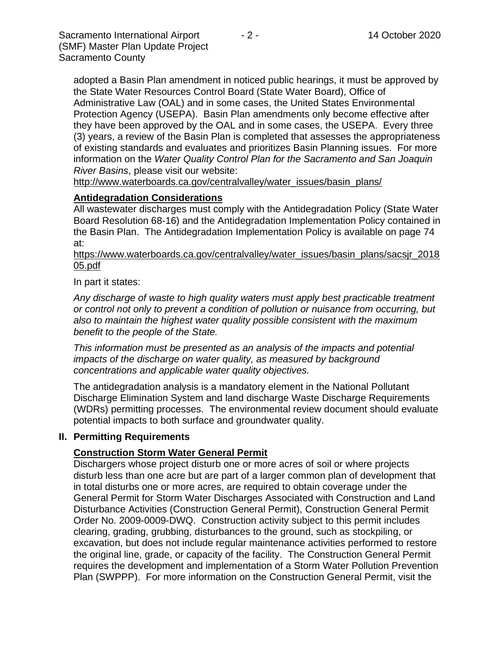Sacramento International Airport  $\overline{a}$  - 2 - 14 October 2020 (SMF) Master Plan Update Project Sacramento County

adopted a Basin Plan amendment in noticed public hearings, it must be approved by the State Water Resources Control Board (State Water Board), Office of Administrative Law (OAL) and in some cases, the United States Environmental Protection Agency (USEPA). Basin Plan amendments only become effective after they have been approved by the OAL and in some cases, the USEPA. Every three (3) years, a review of the Basin Plan is completed that assesses the appropriateness of existing standards and evaluates and prioritizes Basin Planning issues. For more information on the *Water Quality Control Plan for the Sacramento and San Joaquin River Basins*, please visit our website:

[http://www.waterboards.ca.gov/centralvalley/water\\_issues/basin\\_plans/](http://www.waterboards.ca.gov/centralvalley/water_issues/basin_plans/)

# **Antidegradation Considerations**

All wastewater discharges must comply with the Antidegradation Policy (State Water Board Resolution 68-16) and the Antidegradation Implementation Policy contained in the Basin Plan. The Antidegradation Implementation Policy is available on page 74 at:

https://www.waterboards.ca.gov/centralvalley/water\_issues/basin\_plans/sacsjr\_2018 05.pdf

In part it states:

*Any discharge of waste to high quality waters must apply best practicable treatment or control not only to prevent a condition of pollution or nuisance from occurring, but also to maintain the highest water quality possible consistent with the maximum benefit to the people of the State.*

*This information must be presented as an analysis of the impacts and potential impacts of the discharge on water quality, as measured by background concentrations and applicable water quality objectives.*

The antidegradation analysis is a mandatory element in the National Pollutant Discharge Elimination System and land discharge Waste Discharge Requirements (WDRs) permitting processes. The environmental review document should evaluate potential impacts to both surface and groundwater quality.

#### **II. Permitting Requirements**

#### **Construction Storm Water General Permit**

Dischargers whose project disturb one or more acres of soil or where projects disturb less than one acre but are part of a larger common plan of development that in total disturbs one or more acres, are required to obtain coverage under the General Permit for Storm Water Discharges Associated with Construction and Land Disturbance Activities (Construction General Permit), Construction General Permit Order No. 2009-0009-DWQ. Construction activity subject to this permit includes clearing, grading, grubbing, disturbances to the ground, such as stockpiling, or excavation, but does not include regular maintenance activities performed to restore the original line, grade, or capacity of the facility. The Construction General Permit requires the development and implementation of a Storm Water Pollution Prevention Plan (SWPPP). For more information on the Construction General Permit, visit the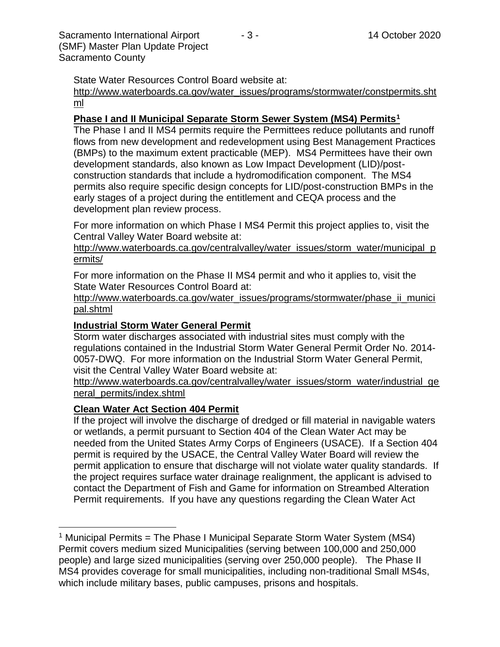State Water Resources Control Board website at:

[http://www.waterboards.ca.gov/water\\_issues/programs/stormwater/constpermits.sht](http://www.waterboards.ca.gov/water_issues/programs/stormwater/constpermits.shtml) [ml](http://www.waterboards.ca.gov/water_issues/programs/stormwater/constpermits.shtml)

# **Phase I and II Municipal Separate Storm Sewer System (MS4) Permits<sup>1</sup>**

The Phase I and II MS4 permits require the Permittees reduce pollutants and runoff flows from new development and redevelopment using Best Management Practices (BMPs) to the maximum extent practicable (MEP). MS4 Permittees have their own development standards, also known as Low Impact Development (LID)/postconstruction standards that include a hydromodification component. The MS4 permits also require specific design concepts for LID/post-construction BMPs in the early stages of a project during the entitlement and CEQA process and the development plan review process.

For more information on which Phase I MS4 Permit this project applies to, visit the Central Valley Water Board website at:

http://www.waterboards.ca.gov/centralvalley/water\_issues/storm\_water/municipal\_p ermits/

For more information on the Phase II MS4 permit and who it applies to, visit the State Water Resources Control Board at:

http://www.waterboards.ca.gov/water\_issues/programs/stormwater/phase\_ii\_munici pal.shtml

# **Industrial Storm Water General Permit**

Storm water discharges associated with industrial sites must comply with the regulations contained in the Industrial Storm Water General Permit Order No. 2014- 0057-DWQ. For more information on the Industrial Storm Water General Permit, visit the Central Valley Water Board website at:

http://www.waterboards.ca.gov/centralvalley/water\_issues/storm\_water/industrial\_ge neral\_permits/index.shtml

# **Clean Water Act Section 404 Permit**

If the project will involve the discharge of dredged or fill material in navigable waters or wetlands, a permit pursuant to Section 404 of the Clean Water Act may be needed from the United States Army Corps of Engineers (USACE). If a Section 404 permit is required by the USACE, the Central Valley Water Board will review the permit application to ensure that discharge will not violate water quality standards. If the project requires surface water drainage realignment, the applicant is advised to contact the Department of Fish and Game for information on Streambed Alteration Permit requirements. If you have any questions regarding the Clean Water Act

<sup>&</sup>lt;sup>1</sup> Municipal Permits = The Phase I Municipal Separate Storm Water System (MS4) Permit covers medium sized Municipalities (serving between 100,000 and 250,000 people) and large sized municipalities (serving over 250,000 people). The Phase II MS4 provides coverage for small municipalities, including non-traditional Small MS4s, which include military bases, public campuses, prisons and hospitals.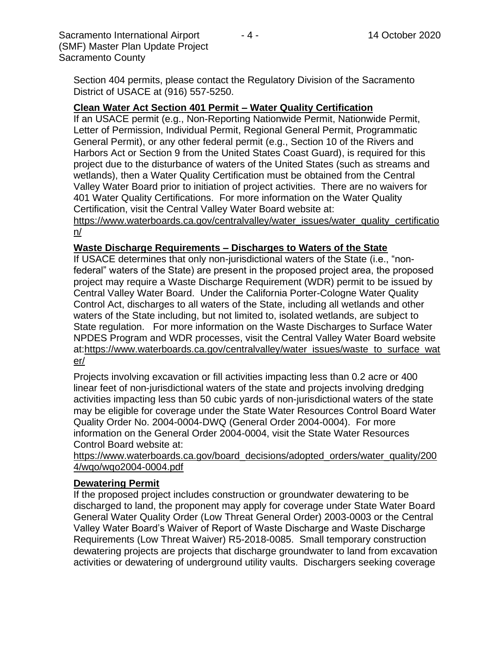Sacramento International Airport  $\overline{a}$  - 4 - 14 October 2020 (SMF) Master Plan Update Project Sacramento County

Section 404 permits, please contact the Regulatory Division of the Sacramento District of USACE at (916) 557-5250.

# **Clean Water Act Section 401 Permit – Water Quality Certification**

If an USACE permit (e.g., Non-Reporting Nationwide Permit, Nationwide Permit, Letter of Permission, Individual Permit, Regional General Permit, Programmatic General Permit), or any other federal permit (e.g., Section 10 of the Rivers and Harbors Act or Section 9 from the United States Coast Guard), is required for this project due to the disturbance of waters of the United States (such as streams and wetlands), then a Water Quality Certification must be obtained from the Central Valley Water Board prior to initiation of project activities. There are no waivers for 401 Water Quality Certifications. For more information on the Water Quality Certification, visit the Central Valley Water Board website at:

https://www.waterboards.ca.gov/centralvalley/water\_issues/water\_quality\_certificatio n/

# **Waste Discharge Requirements – Discharges to Waters of the State**

If USACE determines that only non-jurisdictional waters of the State (i.e., "nonfederal" waters of the State) are present in the proposed project area, the proposed project may require a Waste Discharge Requirement (WDR) permit to be issued by Central Valley Water Board. Under the California Porter-Cologne Water Quality Control Act, discharges to all waters of the State, including all wetlands and other waters of the State including, but not limited to, isolated wetlands, are subject to State regulation. For more information on the Waste Discharges to Surface Water NPDES Program and WDR processes, visit the Central Valley Water Board website at:https://www.waterboards.ca.gov/centralvalley/water\_issues/waste\_to\_surface\_wat er/

Projects involving excavation or fill activities impacting less than 0.2 acre or 400 linear feet of non-jurisdictional waters of the state and projects involving dredging activities impacting less than 50 cubic yards of non-jurisdictional waters of the state may be eligible for coverage under the State Water Resources Control Board Water Quality Order No. 2004-0004-DWQ (General Order 2004-0004). For more information on the General Order 2004-0004, visit the State Water Resources Control Board website at:

https://www.waterboards.ca.gov/board\_decisions/adopted\_orders/water\_quality/200 4/wqo/wqo2004-0004.pdf

# **Dewatering Permit**

If the proposed project includes construction or groundwater dewatering to be discharged to land, the proponent may apply for coverage under State Water Board General Water Quality Order (Low Threat General Order) 2003-0003 or the Central Valley Water Board's Waiver of Report of Waste Discharge and Waste Discharge Requirements (Low Threat Waiver) R5-2018-0085. Small temporary construction dewatering projects are projects that discharge groundwater to land from excavation activities or dewatering of underground utility vaults. Dischargers seeking coverage